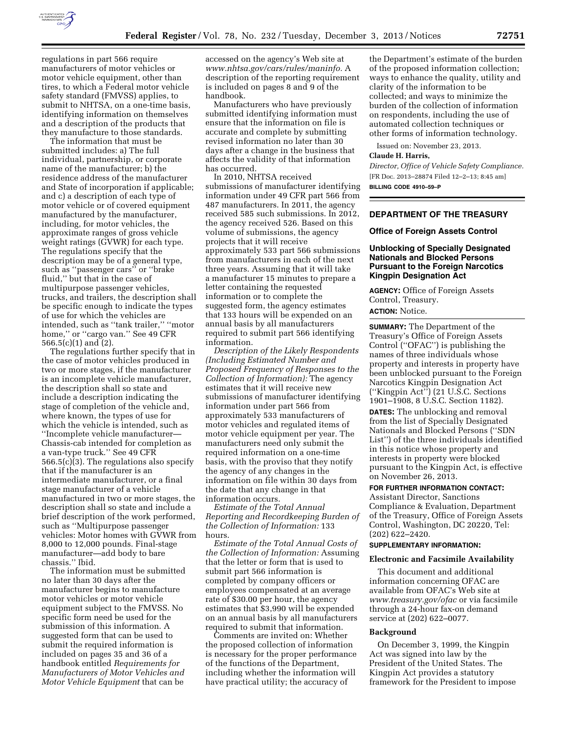

regulations in part 566 require manufacturers of motor vehicles or motor vehicle equipment, other than tires, to which a Federal motor vehicle safety standard (FMVSS) applies, to submit to NHTSA, on a one-time basis, identifying information on themselves and a description of the products that they manufacture to those standards.

The information that must be submitted includes: a) The full individual, partnership, or corporate name of the manufacturer; b) the residence address of the manufacturer and State of incorporation if applicable; and c) a description of each type of motor vehicle or of covered equipment manufactured by the manufacturer, including, for motor vehicles, the approximate ranges of gross vehicle weight ratings (GVWR) for each type. The regulations specify that the description may be of a general type, such as ''passenger cars'' or ''brake fluid,'' but that in the case of multipurpose passenger vehicles, trucks, and trailers, the description shall be specific enough to indicate the types of use for which the vehicles are intended, such as ''tank trailer,'' ''motor home," or "cargo van." See 49 CFR 566.5(c)(1) and (2).

The regulations further specify that in the case of motor vehicles produced in two or more stages, if the manufacturer is an incomplete vehicle manufacturer, the description shall so state and include a description indicating the stage of completion of the vehicle and, where known, the types of use for which the vehicle is intended, such as ''Incomplete vehicle manufacturer— Chassis-cab intended for completion as a van-type truck.'' See 49 CFR 566.5(c)(3). The regulations also specify that if the manufacturer is an intermediate manufacturer, or a final stage manufacturer of a vehicle manufactured in two or more stages, the description shall so state and include a brief description of the work performed, such as ''Multipurpose passenger vehicles: Motor homes with GVWR from 8,000 to 12,000 pounds. Final-stage manufacturer—add body to bare chassis.'' Ibid.

The information must be submitted no later than 30 days after the manufacturer begins to manufacture motor vehicles or motor vehicle equipment subject to the FMVSS. No specific form need be used for the submission of this information. A suggested form that can be used to submit the required information is included on pages 35 and 36 of a handbook entitled *Requirements for Manufacturers of Motor Vehicles and Motor Vehicle Equipment* that can be

accessed on the agency's Web site at *[www.nhtsa.gov/cars/rules/maninfo.](http://www.nhtsa.gov/cars/rules/maninfo)* A description of the reporting requirement is included on pages 8 and 9 of the handbook.

Manufacturers who have previously submitted identifying information must ensure that the information on file is accurate and complete by submitting revised information no later than 30 days after a change in the business that affects the validity of that information has occurred.

In 2010, NHTSA received submissions of manufacturer identifying information under 49 CFR part 566 from 487 manufacturers. In 2011, the agency received 585 such submissions. In 2012, the agency received 526. Based on this volume of submissions, the agency projects that it will receive approximately 533 part 566 submissions from manufacturers in each of the next three years. Assuming that it will take a manufacturer 15 minutes to prepare a letter containing the requested information or to complete the suggested form, the agency estimates that 133 hours will be expended on an annual basis by all manufacturers required to submit part 566 identifying information.

*Description of the Likely Respondents (Including Estimated Number and Proposed Frequency of Responses to the Collection of Information):* The agency estimates that it will receive new submissions of manufacturer identifying information under part 566 from approximately 533 manufacturers of motor vehicles and regulated items of motor vehicle equipment per year. The manufacturers need only submit the required information on a one-time basis, with the proviso that they notify the agency of any changes in the information on file within 30 days from the date that any change in that information occurs.

*Estimate of the Total Annual Reporting and Recordkeeping Burden of the Collection of Information:* 133 hours.

*Estimate of the Total Annual Costs of the Collection of Information:* Assuming that the letter or form that is used to submit part 566 information is completed by company officers or employees compensated at an average rate of \$30.00 per hour, the agency estimates that \$3,990 will be expended on an annual basis by all manufacturers required to submit that information.

Comments are invited on: Whether the proposed collection of information is necessary for the proper performance of the functions of the Department, including whether the information will have practical utility; the accuracy of

the Department's estimate of the burden of the proposed information collection; ways to enhance the quality, utility and clarity of the information to be collected; and ways to minimize the burden of the collection of information on respondents, including the use of automated collection techniques or other forms of information technology.

Issued on: November 23, 2013.

### **Claude H. Harris,**

*Director, Office of Vehicle Safety Compliance.*  [FR Doc. 2013–28874 Filed 12–2–13; 8:45 am] **BILLING CODE 4910–59–P** 

### **DEPARTMENT OF THE TREASURY**

#### **Office of Foreign Assets Control**

## **Unblocking of Specially Designated Nationals and Blocked Persons Pursuant to the Foreign Narcotics Kingpin Designation Act**

**AGENCY:** Office of Foreign Assets Control, Treasury. **ACTION:** Notice.

**SUMMARY:** The Department of the Treasury's Office of Foreign Assets Control (''OFAC'') is publishing the names of three individuals whose property and interests in property have been unblocked pursuant to the Foreign Narcotics Kingpin Designation Act (''Kingpin Act'') (21 U.S.C. Sections 1901–1908, 8 U.S.C. Section 1182).

**DATES:** The unblocking and removal from the list of Specially Designated Nationals and Blocked Persons (''SDN List'') of the three individuals identified in this notice whose property and interests in property were blocked pursuant to the Kingpin Act, is effective on November 26, 2013.

### **FOR FURTHER INFORMATION CONTACT:**

Assistant Director, Sanctions Compliance & Evaluation, Department of the Treasury, Office of Foreign Assets Control, Washington, DC 20220, Tel: (202) 622–2420.

## **SUPPLEMENTARY INFORMATION:**

### **Electronic and Facsimile Availability**

This document and additional information concerning OFAC are available from OFAC's Web site at *[www.treasury.gov/ofac](http://www.treasury.gov/ofac)* or via facsimile through a 24-hour fax-on demand service at (202) 622–0077.

### **Background**

On December 3, 1999, the Kingpin Act was signed into law by the President of the United States. The Kingpin Act provides a statutory framework for the President to impose